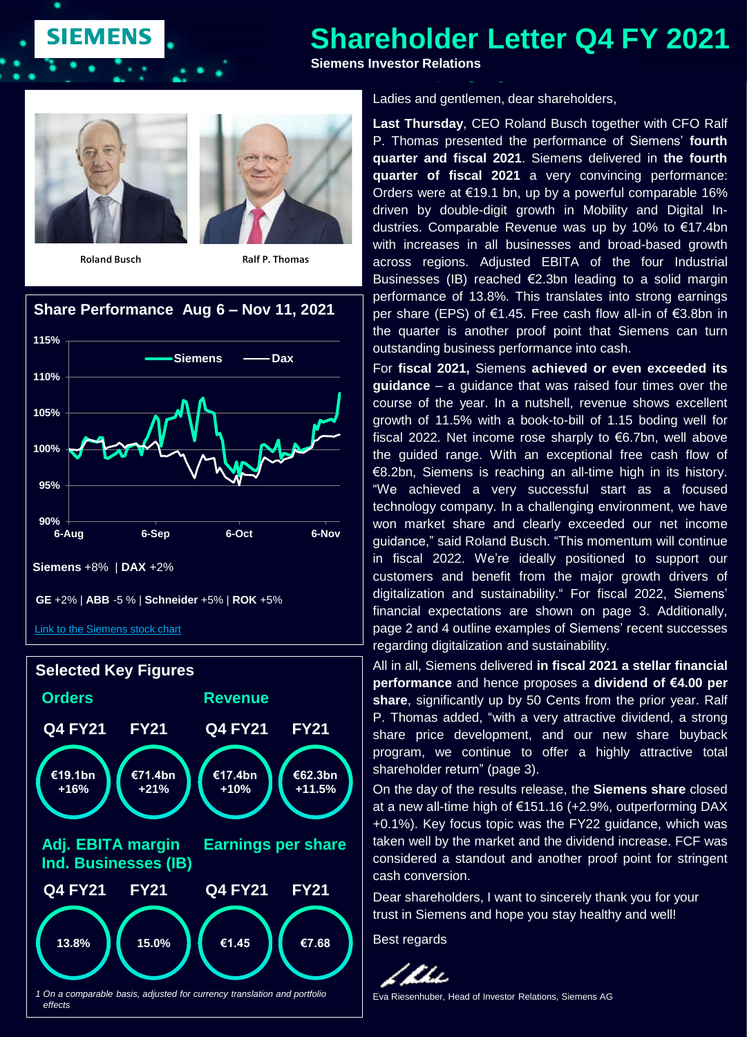# **Shareholder Letter Q4 FY 2021**

**Siemens Investor Relations**



**SIEMENS** 

**Roland Busch Ralf P. Thomas**







Ladies and gentlemen, dear shareholders,

**Last Thursday**, CEO Roland Busch together with CFO Ralf P. Thomas presented the performance of Siemens' **fourth quarter and fiscal 2021**. Siemens delivered in **the fourth quarter of fiscal 2021** a very convincing performance: Orders were at €19.1 bn, up by a powerful comparable 16% driven by double-digit growth in Mobility and Digital Industries. Comparable Revenue was up by 10% to €17.4bn with increases in all businesses and broad-based growth across regions. Adjusted EBITA of the four Industrial Businesses (IB) reached €2.3bn leading to a solid margin performance of 13.8%. This translates into strong earnings per share (EPS) of €1.45. Free cash flow all-in of €3.8bn in the quarter is another proof point that Siemens can turn outstanding business performance into cash.

For **fiscal 2021,** Siemens **achieved or even exceeded its guidance** – a guidance that was raised four times over the course of the year. In a nutshell, revenue shows excellent growth of 11.5% with a book-to-bill of 1.15 boding well for fiscal 2022. Net income rose sharply to €6.7bn, well above the guided range. With an exceptional free cash flow of €8.2bn, Siemens is reaching an all-time high in its history. "We achieved a very successful start as a focused technology company. In a challenging environment, we have won market share and clearly exceeded our net income guidance," said Roland Busch. "This momentum will continue in fiscal 2022. We're ideally positioned to support our customers and benefit from the major growth drivers of digitalization and sustainability." For fiscal 2022, Siemens' financial expectations are shown on page 3. Additionally, page 2 and 4 outline examples of Siemens' recent successes regarding digitalization and sustainability.

All in all, Siemens delivered **in fiscal 2021 a stellar financial performance** and hence proposes a **dividend of €4.00 per share**, significantly up by 50 Cents from the prior year. Ralf P. Thomas added, "with a very attractive dividend, a strong share price development, and our new share buyback program, we continue to offer a highly attractive total shareholder return" (page 3).

On the day of the results release, the **Siemens share** closed at a new all-time high of €151.16 (+2.9%, outperforming DAX +0.1%). Key focus topic was the FY22 guidance, which was taken well by the market and the dividend increase. FCF was considered a standout and another proof point for stringent cash conversion.

Dear shareholders, I want to sincerely thank you for your trust in Siemens and hope you stay healthy and well!

Best regards



Eva Riesenhuber, Head of Investor Relations, Siemens AG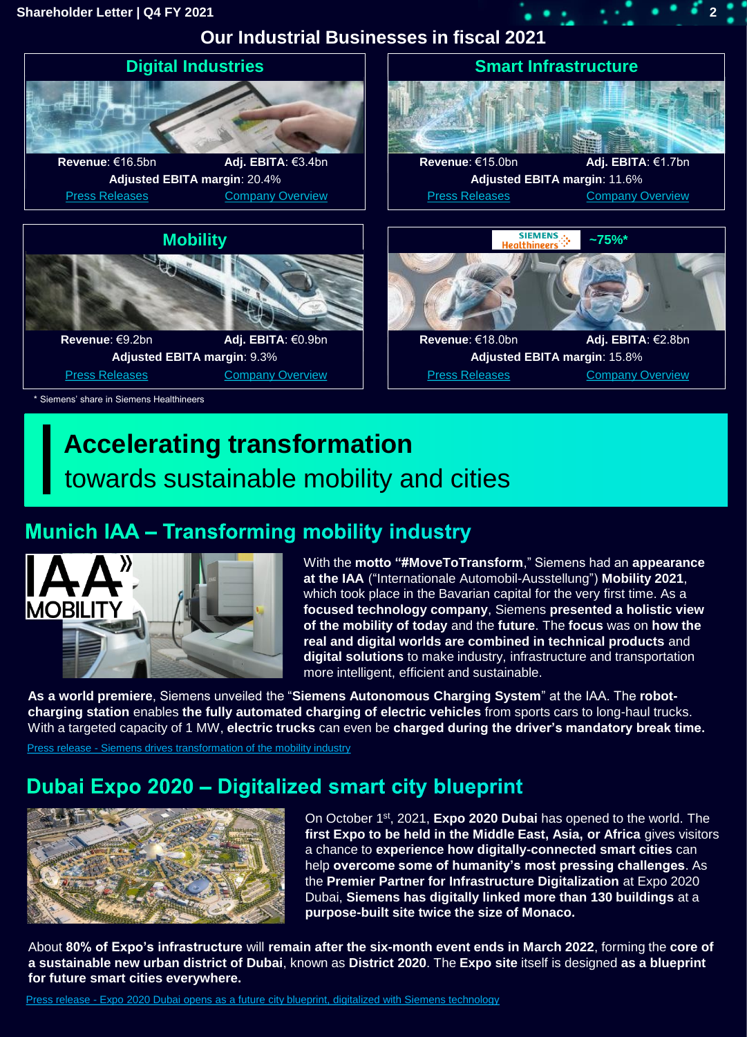#### **Shareholder Letter | Q4 FY 2021 2**

**Our Industrial Businesses in fiscal 2021**



## **Accelerating transformation**  towards sustainable mobility and cities

## **Munich IAA - Transforming mobility industry**



With the **motto "#MoveToTransform**," Siemens had an **appearance at the IAA** ("Internationale Automobil-Ausstellung") **Mobility 2021**, which took place in the Bavarian capital for the very first time. As a **focused technology company**, Siemens **presented a holistic view of the mobility of today** and the **future**. The **focus** was on **how the real and digital worlds are combined in technical products** and **digital solutions** to make industry, infrastructure and transportation more intelligent, efficient and sustainable.

**As a world premiere**, Siemens unveiled the "**Siemens Autonomous Charging System**" at the IAA. The **robotcharging station** enables **the fully automated charging of electric vehicles** from sports cars to long-haul trucks. With a targeted capacity of 1 MW, **electric trucks** can even be **charged during the driver's mandatory break time.**

Press release - Siemens drives transformation of the mobility industry

#### Dubai Expo 2020 - Digitalized smart city blueprint



On October 1st, 2021, **Expo 2020 Dubai** has opened to the world. The **first Expo to be held in the Middle East, Asia, or Africa** gives visitors a chance to **experience how digitally-connected smart cities** can help **overcome some of humanity's most pressing challenges**. As the **Premier Partner for Infrastructure Digitalization** at Expo 2020 Dubai, **Siemens has digitally linked more than 130 buildings** at a **purpose-built site twice the size of Monaco.** 

About **80% of Expo's infrastructure** will **remain after the six-month event ends in March 2022**, forming the **core of a sustainable new urban district of Dubai**, known as **District 2020**. The **Expo site** itself is designed **as a blueprint for future smart cities everywhere.**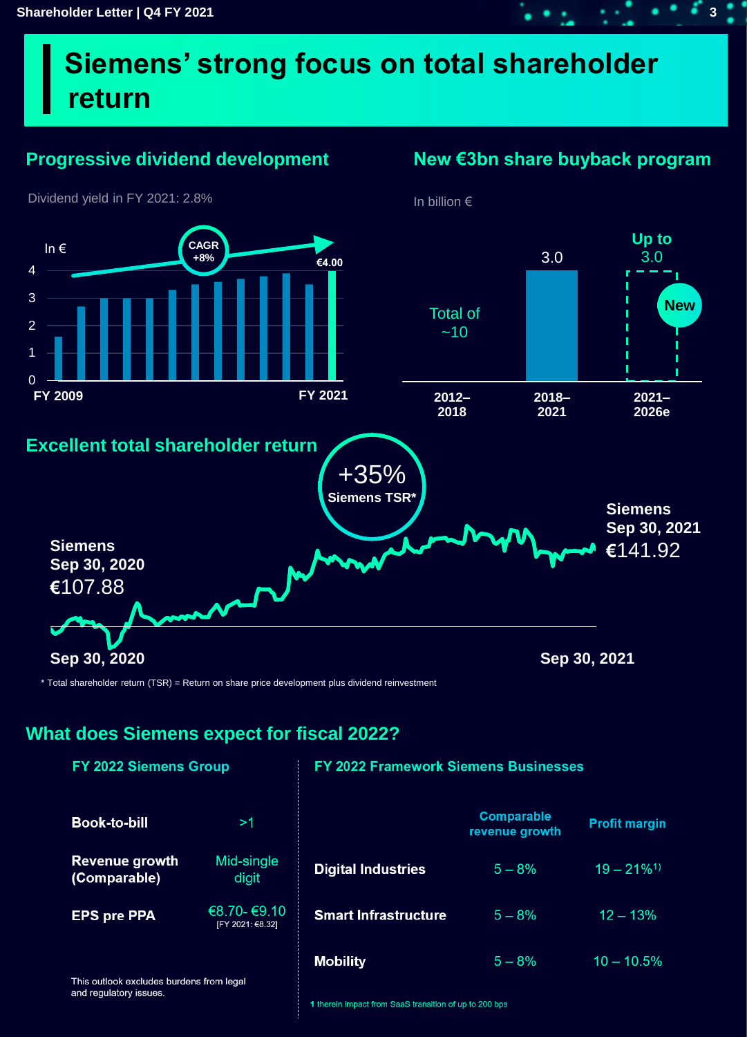# **Siemens' strong focus on total shareholder return**

#### **Progressive dividend development**

#### **New €3bn share buyback program**



\* Total shareholder return (TSR) = Return on share price development plus dividend reinvestment

#### **What does Siemens expect for fiscal 2022?**

| <b>FY 2022 Siemens Group</b>                                       |                                 | <b>FY 2022 Framework Siemens Businesses</b> |                                     |                           |
|--------------------------------------------------------------------|---------------------------------|---------------------------------------------|-------------------------------------|---------------------------|
| <b>Book-to-bill</b>                                                | >1                              |                                             | <b>Comparable</b><br>revenue growth | <b>Profit margin</b>      |
| <b>Revenue growth</b><br>(Comparable)                              | Mid-single<br>digit             | <b>Digital Industries</b>                   | $5 - 8%$                            | $19 - 21\%$ <sup>1)</sup> |
| <b>EPS pre PPA</b>                                                 | €8.70-€9.10<br>[FY 2021: €8.32] | <b>Smart Infrastructure</b>                 | $5 - 8%$                            | $12 - 13%$                |
| This outlook excludes burdens from legal<br>and regulatory issues. |                                 | <b>Mobility</b>                             | $5 - 8%$                            | $10 - 10.5%$              |

1 therein impact from SaaS transition of up to 200 bps